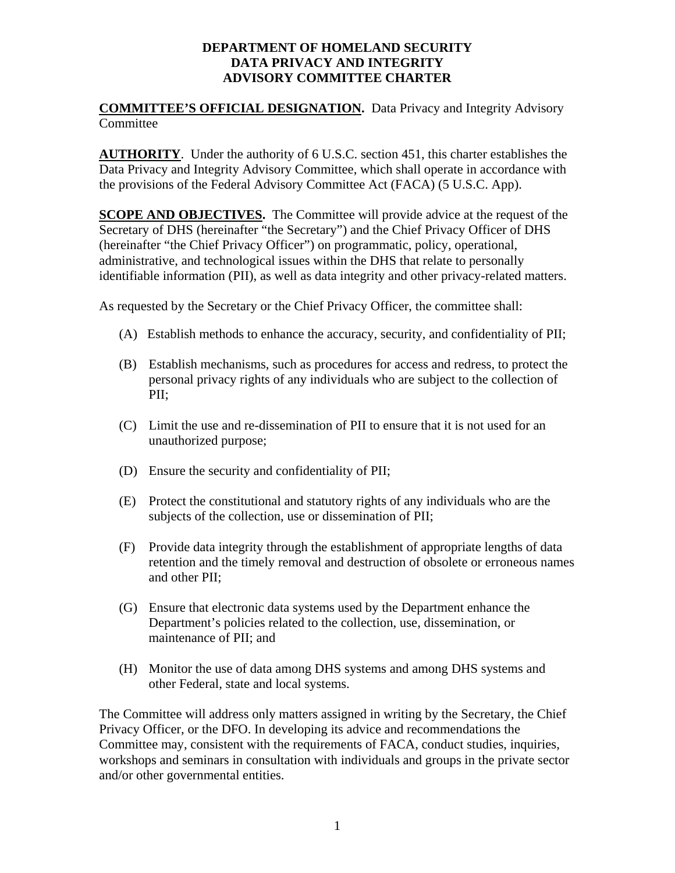## **DEPARTMENT OF HOMELAND SECURITY DATA PRIVACY AND INTEGRITY ADVISORY COMMITTEE CHARTER**

## **COMMITTEE'S OFFICIAL DESIGNATION.** Data Privacy and Integrity Advisory Committee

**AUTHORITY**. Under the authority of 6 U.S.C. section 451, this charter establishes the Data Privacy and Integrity Advisory Committee, which shall operate in accordance with the provisions of the Federal Advisory Committee Act (FACA) (5 U.S.C. App).

**SCOPE AND OBJECTIVES.** The Committee will provide advice at the request of the Secretary of DHS (hereinafter "the Secretary") and the Chief Privacy Officer of DHS (hereinafter "the Chief Privacy Officer") on programmatic, policy, operational, administrative, and technological issues within the DHS that relate to personally identifiable information (PII), as well as data integrity and other privacy-related matters.

As requested by the Secretary or the Chief Privacy Officer, the committee shall:

- (A) Establish methods to enhance the accuracy, security, and confidentiality of PII;
- (B) Establish mechanisms, such as procedures for access and redress, to protect the personal privacy rights of any individuals who are subject to the collection of PII;
- (C) Limit the use and re-dissemination of PII to ensure that it is not used for an unauthorized purpose;
- (D) Ensure the security and confidentiality of PII;
- (E) Protect the constitutional and statutory rights of any individuals who are the subjects of the collection, use or dissemination of PII;
- (F) Provide data integrity through the establishment of appropriate lengths of data retention and the timely removal and destruction of obsolete or erroneous names and other PII;
- (G) Ensure that electronic data systems used by the Department enhance the Department's policies related to the collection, use, dissemination, or maintenance of PII; and
- (H) Monitor the use of data among DHS systems and among DHS systems and other Federal, state and local systems.

The Committee will address only matters assigned in writing by the Secretary, the Chief Privacy Officer, or the DFO. In developing its advice and recommendations the Committee may, consistent with the requirements of FACA, conduct studies, inquiries, workshops and seminars in consultation with individuals and groups in the private sector and/or other governmental entities.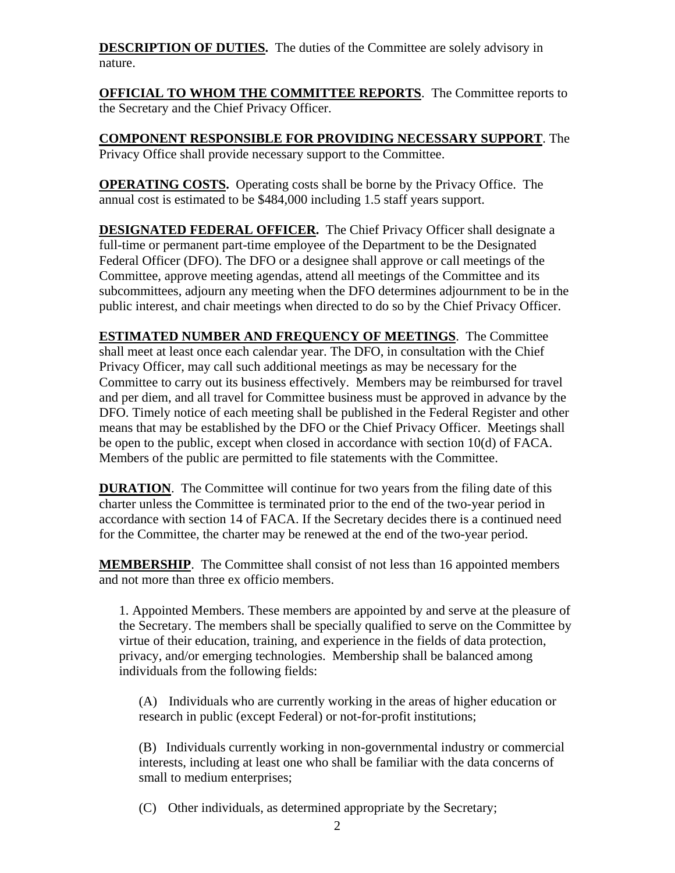**DESCRIPTION OF DUTIES.** The duties of the Committee are solely advisory in nature.

**OFFICIAL TO WHOM THE COMMITTEE REPORTS**. The Committee reports to the Secretary and the Chief Privacy Officer.

**COMPONENT RESPONSIBLE FOR PROVIDING NECESSARY SUPPORT**. The Privacy Office shall provide necessary support to the Committee.

**OPERATING COSTS.** Operating costs shall be borne by the Privacy Office. The annual cost is estimated to be \$484,000 including 1.5 staff years support.

**DESIGNATED FEDERAL OFFICER.** The Chief Privacy Officer shall designate a full-time or permanent part-time employee of the Department to be the Designated Federal Officer (DFO). The DFO or a designee shall approve or call meetings of the Committee, approve meeting agendas, attend all meetings of the Committee and its subcommittees, adjourn any meeting when the DFO determines adjournment to be in the public interest, and chair meetings when directed to do so by the Chief Privacy Officer.

**ESTIMATED NUMBER AND FREQUENCY OF MEETINGS**. The Committee shall meet at least once each calendar year. The DFO, in consultation with the Chief Privacy Officer, may call such additional meetings as may be necessary for the Committee to carry out its business effectively. Members may be reimbursed for travel and per diem, and all travel for Committee business must be approved in advance by the DFO. Timely notice of each meeting shall be published in the Federal Register and other means that may be established by the DFO or the Chief Privacy Officer. Meetings shall be open to the public, except when closed in accordance with section 10(d) of FACA. Members of the public are permitted to file statements with the Committee.

**DURATION.** The Committee will continue for two years from the filing date of this charter unless the Committee is terminated prior to the end of the two-year period in accordance with section 14 of FACA. If the Secretary decides there is a continued need for the Committee, the charter may be renewed at the end of the two-year period.

**MEMBERSHIP**. The Committee shall consist of not less than 16 appointed members and not more than three ex officio members.

1. Appointed Members. These members are appointed by and serve at the pleasure of the Secretary. The members shall be specially qualified to serve on the Committee by virtue of their education, training, and experience in the fields of data protection, privacy, and/or emerging technologies. Membership shall be balanced among individuals from the following fields:

(A) Individuals who are currently working in the areas of higher education or research in public (except Federal) or not-for-profit institutions;

(B) Individuals currently working in non-governmental industry or commercial interests, including at least one who shall be familiar with the data concerns of small to medium enterprises;

(C) Other individuals, as determined appropriate by the Secretary;